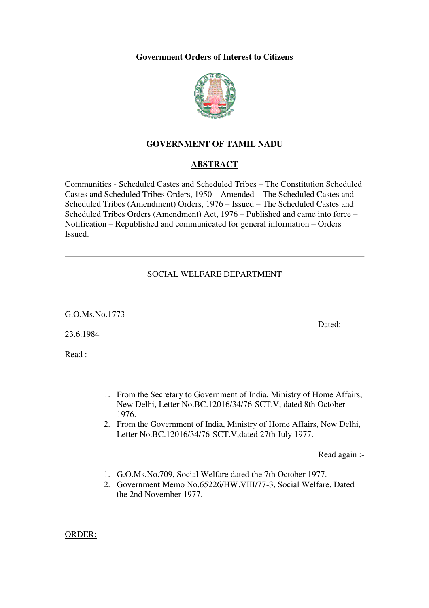#### **Government Orders of Interest to Citizens**



# **GOVERNMENT OF TAMIL NADU**

#### **ABSTRACT**

Communities - Scheduled Castes and Scheduled Tribes – The Constitution Scheduled Castes and Scheduled Tribes Orders, 1950 – Amended – The Scheduled Castes and Scheduled Tribes (Amendment) Orders, 1976 – Issued – The Scheduled Castes and Scheduled Tribes Orders (Amendment) Act, 1976 – Published and came into force – Notification – Republished and communicated for general information – Orders Issued.

#### SOCIAL WELFARE DEPARTMENT

G.O.Ms.No.1773

23.6.1984

Read :-

- 1. From the Secretary to Government of India, Ministry of Home Affairs, New Delhi, Letter No.BC.12016/34/76-SCT.V, dated 8th October 1976.
- 2. From the Government of India, Ministry of Home Affairs, New Delhi, Letter No.BC.12016/34/76-SCT.V,dated 27th July 1977.

Read again :-

- 1. G.O.Ms.No.709, Social Welfare dated the 7th October 1977.
- 2. Government Memo No.65226/HW.VIII/77-3, Social Welfare, Dated the 2nd November 1977.

ORDER:

Dated: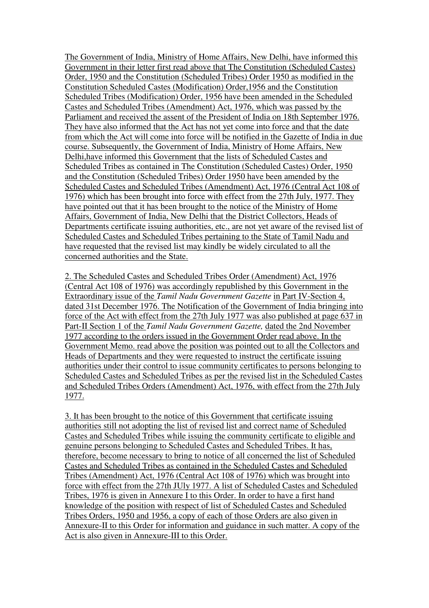The Government of India, Ministry of Home Affairs, New Delhi, have informed this Government in their letter first read above that The Constitution (Scheduled Castes) Order, 1950 and the Constitution (Scheduled Tribes) Order 1950 as modified in the Constitution Scheduled Castes (Modification) Order,1956 and the Constitution Scheduled Tribes (Modification) Order, 1956 have been amended in the Scheduled Castes and Scheduled Tribes (Amendment) Act, 1976, which was passed by the Parliament and received the assent of the President of India on 18th September 1976. They have also informed that the Act has not yet come into force and that the date from which the Act will come into force will be notified in the Gazette of India in due course. Subsequently, the Government of India, Ministry of Home Affairs, New Delhi,have informed this Government that the lists of Scheduled Castes and Scheduled Tribes as contained in The Constitution (Scheduled Castes) Order, 1950 and the Constitution (Scheduled Tribes) Order 1950 have been amended by the Scheduled Castes and Scheduled Tribes (Amendment) Act, 1976 (Central Act 108 of 1976) which has been brought into force with effect from the 27th July, 1977. They have pointed out that it has been brought to the notice of the Ministry of Home Affairs, Government of India, New Delhi that the District Collectors, Heads of Departments certificate issuing authorities, etc., are not yet aware of the revised list of Scheduled Castes and Scheduled Tribes pertaining to the State of Tamil Nadu and have requested that the revised list may kindly be widely circulated to all the concerned authorities and the State.

2. The Scheduled Castes and Scheduled Tribes Order (Amendment) Act, 1976 (Central Act 108 of 1976) was accordingly republished by this Government in the Extraordinary issue of the *Tamil Nadu Government Gazette* in Part IV-Section 4, dated 31st December 1976. The Notification of the Government of India bringing into force of the Act with effect from the 27th July 1977 was also published at page 637 in Part-II Section 1 of the *Tamil Nadu Government Gazette,* dated the 2nd November 1977 according to the orders issued in the Government Order read above. In the Government Memo. read above the position was pointed out to all the Collectors and Heads of Departments and they were requested to instruct the certificate issuing authorities under their control to issue community certificates to persons belonging to Scheduled Castes and Scheduled Tribes as per the revised list in the Scheduled Castes and Scheduled Tribes Orders (Amendment) Act, 1976, with effect from the 27th July 1977.

3. It has been brought to the notice of this Government that certificate issuing authorities still not adopting the list of revised list and correct name of Scheduled Castes and Scheduled Tribes while issuing the community certificate to eligible and genuine persons belonging to Scheduled Castes and Scheduled Tribes. It has, therefore, become necessary to bring to notice of all concerned the list of Scheduled Castes and Scheduled Tribes as contained in the Scheduled Castes and Scheduled Tribes (Amendment) Act, 1976 (Central Act 108 of 1976) which was brought into force with effect from the 27th JUly 1977. A list of Scheduled Castes and Scheduled Tribes, 1976 is given in Annexure I to this Order. In order to have a first hand knowledge of the position with respect of list of Scheduled Castes and Scheduled Tribes Orders, 1950 and 1956, a copy of each of those Orders are also given in Annexure-II to this Order for information and guidance in such matter. A copy of the Act is also given in Annexure-III to this Order.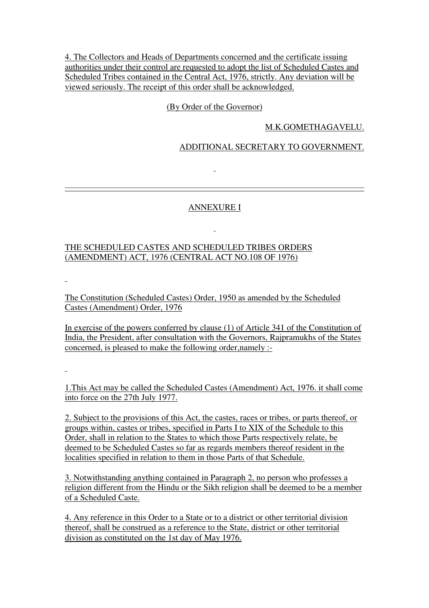4. The Collectors and Heads of Departments concerned and the certificate issuing authorities under their control are requested to adopt the list of Scheduled Castes and Scheduled Tribes contained in the Central Act, 1976, strictly. Any deviation will be viewed seriously. The receipt of this order shall be acknowledged.

# (By Order of the Governor)

# M.K.GOMETHAGAVELU.

# ADDITIONAL SECRETARY TO GOVERNMENT.

#### ANNEXURE I

# THE SCHEDULED CASTES AND SCHEDULED TRIBES ORDERS (AMENDMENT) ACT, 1976 (CENTRAL ACT NO.108 OF 1976)

 $\mathbf{r}$ 

The Constitution (Scheduled Castes) Order, 1950 as amended by the Scheduled Castes (Amendment) Order, 1976

In exercise of the powers conferred by clause (1) of Article 341 of the Constitution of India, the President, after consultation with the Governors, Rajpramukhs of the States concerned, is pleased to make the following order,namely :-

1.This Act may be called the Scheduled Castes (Amendment) Act, 1976. it shall come into force on the 27th July 1977.

2. Subject to the provisions of this Act, the castes, races or tribes, or parts thereof, or groups within, castes or tribes, specified in Parts I to XIX of the Schedule to this Order, shall in relation to the States to which those Parts respectively relate, be deemed to be Scheduled Castes so far as regards members thereof resident in the localities specified in relation to them in those Parts of that Schedule.

3. Notwithstanding anything contained in Paragraph 2, no person who professes a religion different from the Hindu or the Sikh religion shall be deemed to be a member of a Scheduled Caste.

4. Any reference in this Order to a State or to a district or other territorial division thereof, shall be construed as a reference to the State, district or other territorial division as constituted on the 1st day of May 1976.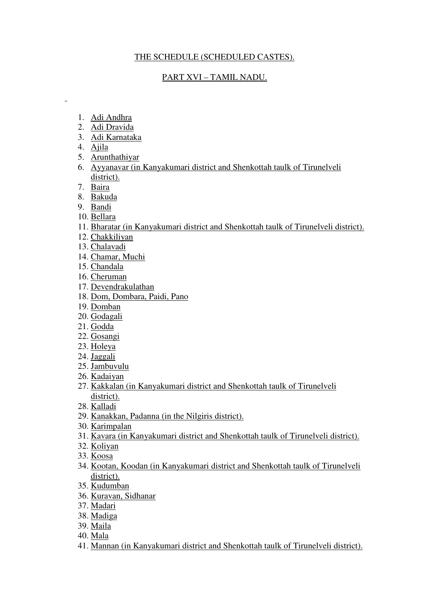# THE SCHEDULE (SCHEDULED CASTES).

# PART XVI – TAMIL NADU.

- 1. Adi Andhra
- 2. Adi Dravida
- 3. Adi Karnataka
- 4. Ajila

 $\overline{a}$ 

- 5. Arunthathiyar
- 6. Ayyanavar (in Kanyakumari district and Shenkottah taulk of Tirunelveli district).
- 7. Baira
- 8. Bakuda
- 9. Bandi
- 10. Bellara
- 11. Bharatar (in Kanyakumari district and Shenkottah taulk of Tirunelveli district).
- 12. Chakkiliyan
- 13. Chalavadi
- 14. Chamar, Muchi
- 15. Chandala
- 16. Cheruman
- 17. Devendrakulathan
- 18. Dom, Dombara, Paidi, Pano
- 19. Domban
- 20. Godagali
- 21. Godda
- 22. Gosangi
- 23. Holeya
- 24. Jaggali
- 25. Jambuvulu
- 26. Kadaiyan
- 27. Kakkalan (in Kanyakumari district and Shenkottah taulk of Tirunelveli district).
- 28. Kalladi
- 29. Kanakkan, Padanna (in the Nilgiris district).
- 30. Karimpalan
- 31. Kavara (in Kanyakumari district and Shenkottah taulk of Tirunelveli district).
- 32. Koliyan
- 33. Koosa
- 34. Kootan, Koodan (in Kanyakumari district and Shenkottah taulk of Tirunelveli district).
- 35. Kudumban
- 36. Kuravan, Sidhanar
- 37. Madari
- 38. Madiga
- 39. Maila
- 40. Mala
- 41. Mannan (in Kanyakumari district and Shenkottah taulk of Tirunelveli district).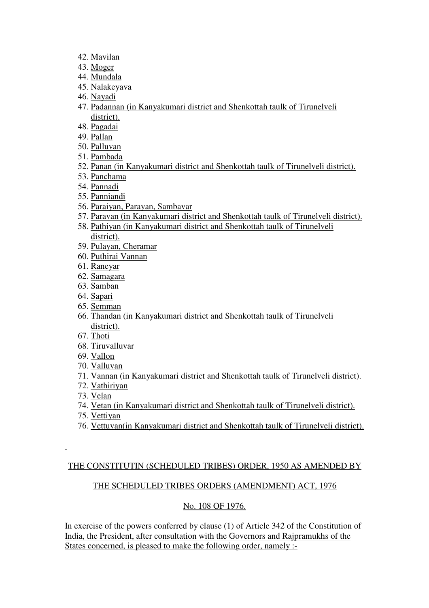- 42. Mavilan
- 43. Moger
- 44. Mundala
- 45. Nalakeyava
- 46. Nayadi
- 47. Padannan (in Kanyakumari district and Shenkottah taulk of Tirunelveli district).
- 48. Pagadai
- 49. Pallan
- 50. Palluvan
- 51. Pambada
- 52. Panan (in Kanyakumari district and Shenkottah taulk of Tirunelveli district).
- 53. Panchama
- 54. Pannadi
- 55. Panniandi
- 56. Paraiyan, Parayan, Sambavar
- 57. Paravan (in Kanyakumari district and Shenkottah taulk of Tirunelveli district).
- 58. Pathiyan (in Kanyakumari district and Shenkottah taulk of Tirunelveli district).
- 59. Pulayan, Cheramar
- 60. Puthirai Vannan
- 61. Raneyar
- 62. Samagara
- 63. Samban
- 64. Sapari
- 65. Semman
- 66. Thandan (in Kanyakumari district and Shenkottah taulk of Tirunelveli district).
- 67. Thoti
- 68. Tiruvalluvar
- 69. Vallon
- 70. Valluvan
- 71. Vannan (in Kanyakumari district and Shenkottah taulk of Tirunelveli district).
- 72. Vathiriyan
- 73. Velan
- 74. Vetan (in Kanyakumari district and Shenkottah taulk of Tirunelveli district).
- 75. Vettiyan
- 76. Vettuvan(in Kanyakumari district and Shenkottah taulk of Tirunelveli district).

#### THE CONSTITUTIN (SCHEDULED TRIBES) ORDER, 1950 AS AMENDED BY

# THE SCHEDULED TRIBES ORDERS (AMENDMENT) ACT, 1976

# No. 108 OF 1976.

In exercise of the powers conferred by clause (1) of Article 342 of the Constitution of India, the President, after consultation with the Governors and Rajpramukhs of the States concerned, is pleased to make the following order, namely :-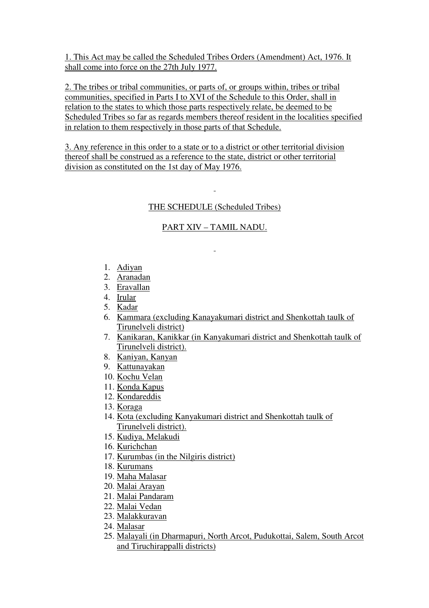1. This Act may be called the Scheduled Tribes Orders (Amendment) Act, 1976. It shall come into force on the 27th July 1977.

2. The tribes or tribal communities, or parts of, or groups within, tribes or tribal communities, specified in Parts I to XVI of the Schedule to this Order, shall in relation to the states to which those parts respectively relate, be deemed to be Scheduled Tribes so far as regards members thereof resident in the localities specified in relation to them respectively in those parts of that Schedule.

3. Any reference in this order to a state or to a district or other territorial division thereof shall be construed as a reference to the state, district or other territorial division as constituted on the 1st day of May 1976.

# THE SCHEDULE (Scheduled Tribes)

# PART XIV – TAMIL NADU.

- 1. Adiyan
- 2. Aranadan
- 3. Eravallan
- 4. Irular
- 5. Kadar
- 6. Kammara (excluding Kanayakumari district and Shenkottah taulk of Tirunelveli district)
- 7. Kanikaran, Kanikkar (in Kanyakumari district and Shenkottah taulk of Tirunelveli district).
- 8. Kaniyan, Kanyan
- 9. Kattunayakan
- 10. Kochu Velan
- 11. Konda Kapus
- 12. Kondareddis
- 13. Koraga
- 14. Kota (excluding Kanyakumari district and Shenkottah taulk of Tirunelveli district).
- 15. Kudiya, Melakudi
- 16. Kurichchan
- 17. Kurumbas (in the Nilgiris district)
- 18. Kurumans
- 19. Maha Malasar
- 20. Malai Arayan
- 21. Malai Pandaram
- 22. Malai Vedan
- 23. Malakkuravan
- 24. Malasar
- 25. Malayali (in Dharmapuri, North Arcot, Pudukottai, Salem, South Arcot and Tiruchirappalli districts)